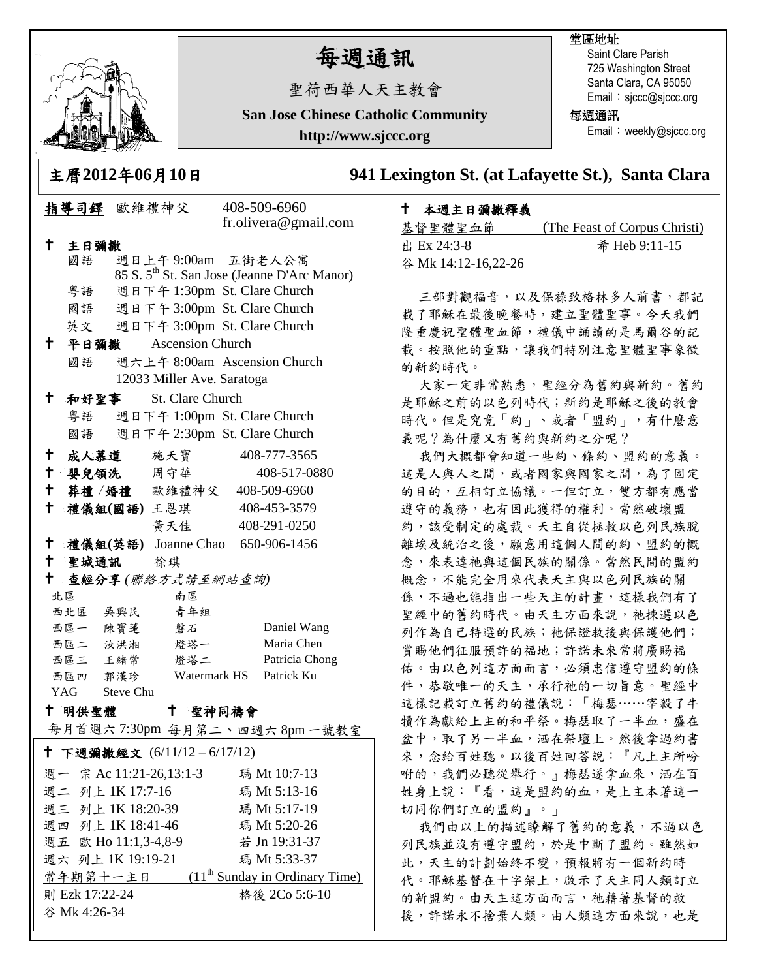

谷 Mk 4:26-34

# 每週通訊

聖荷西華人天主教會

**San Jose Chinese Catholic Community**

**http://www.sjccc.org**

### 堂區地址

Saint Clare Parish 725 Washington Street Santa Clara, CA 95050 Email: sjccc@sjccc.org

每週通訊

Email: weekly@sjccc.org

主曆**2012**年**06**月**10**日 **941 Lexington St. (at Lafayette St.), Santa Clara** 

### 本週主日彌撒釋義

| 基督聖體聖血節             | (The Feast of Corpus Christi) |
|---------------------|-------------------------------|
| 出 Ex 24:3-8         | 希 Heb 9:11-15                 |
| 谷 Mk 14:12-16,22-26 |                               |

三部對觀福音,以及保祿致格林多人前書,都記 載了耶穌在最後晚餐時,建立聖體聖事。今天我們 隆重慶祝聖體聖血節,禮儀中誦讀的是馬爾谷的記 載。按照他的重點,讓我們特別注意聖體聖事象徵 的新約時代。

大家一定非常熟悉,聖經分為舊約與新約。舊約 是耶穌之前的以色列時代;新約是耶穌之後的教會 時代。但是究竟「約」、或者「盟約」, 有什麼意 義呢?為什麼又有舊約與新約之分呢?

我們大概都會知道一些約、條約、盟約的意義。 這是人與人之間,或者國家與國家之間,為了固定 的目的,互相訂立協議。一但訂立,雙方都有應當 遵守的義務,也有因此獲得的權利。當然破壞盟 約,該受制定的處裁。天主自從拯救以色列民族脫 離埃及統治之後,願意用這個人間的約、盟約的概 念,來表達祂與這個民族的關係。當然民間的盟約 概念,不能完全用來代表天主與以色列民族的關 係,不過也能指出一些天主的計畫,這樣我們有了 聖經中的舊約時代。由天主方面來說,祂揀選以色 列作為自己特選的民族;祂保證救援與保護他們; 賞賜他們征服預許的福地;許諾未來常將廣賜福 佑。由以色列這方面而言,必須忠信遵守盟約的條 件,恭敬唯一的天主,承行祂的一切旨意。聖經中 這樣記載訂立舊約的禮儀說:「梅瑟……宰殺了牛 犢作為獻給上主的和平祭。梅瑟取了一半血,盛在 盆中,取了另一半血,洒在祭壇上。然後拿過約書 來,念給百姓聽。以後百姓回答說:『凡上主所吩 咐的,我們必聽從舉行。』梅瑟遂拿血來, 洒在百 姓身上說:『看,這是盟約的血,是上主本著這一 切同你們訂立的盟約』。」

我們由以上的描述瞭解了舊約的意義,不過以色 列民族並沒有遵守盟約,於是中斷了盟約。雖然如 此,天主的計劃始終不變,預報將有一個新約時 代。耶穌基督在十字架上,啟示了天主同人類訂立 的新盟約。由天主這方面而言,祂藉著基督的救 援,許諾永不捨棄人類。由人類這方面來說,也是

|              |                | 指導司鐸 歐維禮神父                 |                  | 408-509-6960                                            |  |
|--------------|----------------|----------------------------|------------------|---------------------------------------------------------|--|
|              |                |                            |                  | fr.olivera@gmail.com                                    |  |
| †∶           | 主日彌撒           |                            |                  |                                                         |  |
|              | 國語             |                            |                  | 週日上午9:00am 五街老人公寓                                       |  |
|              |                |                            |                  | 85 S. 5 <sup>th</sup> St. San Jose (Jeanne D'Arc Manor) |  |
|              | 粤語             |                            |                  | 週日下午 1:30pm St. Clare Church                            |  |
|              | 國語             |                            |                  | 週日下午 3:00pm St. Clare Church                            |  |
|              |                |                            |                  | 英文 週日下午 3:00pm St. Clare Church                         |  |
| † ∶          |                | 平日彌撒 Ascension Church      |                  |                                                         |  |
|              | 國語             |                            |                  | 週六上午 8:00am Ascension Church                            |  |
|              |                | 12033 Miller Ave. Saratoga |                  |                                                         |  |
| $^{\dagger}$ | 和好聖事           |                            | St. Clare Church |                                                         |  |
|              |                |                            |                  | 粤語 週日下午 1:00pm St. Clare Church                         |  |
|              | 國語             |                            |                  | 週日下午 2:30pm St. Clare Church                            |  |
|              |                | 十 成人慕道 施天寶                 |                  | 408-777-3565                                            |  |
| $\mathbf +$  |                | 嬰兒領洗 周守華                   |                  | 408-517-0880                                            |  |
|              |                |                            |                  | + 葬禮/婚禮 歐維禮神父 408-509-6960                              |  |
| $^\dagger$   |                | 禮儀組(國語) 王恩琪                |                  | 408-453-3579                                            |  |
|              |                | 黄天佳                        |                  | 408-291-0250                                            |  |
|              |                |                            |                  | † 禮儀組(英語) Joanne Chao 650-906-1456                      |  |
| t -          |                | 聖城通訊 徐琪                    |                  |                                                         |  |
| $\mathsf{t}$ |                | 查經分享(聯絡方式請至網站查詢)           |                  |                                                         |  |
|              | 北區             |                            | 南區               |                                                         |  |
|              | 西北區 吳興民        |                            | 青年組              |                                                         |  |
|              |                | 西區一 陳寶蓮 磐石                 |                  | Daniel Wang                                             |  |
|              |                | 西區二 汝洪湘 燈塔一                |                  | Maria Chen                                              |  |
|              |                | 西區三 王緒常 燈塔二                |                  | Patricia Chong                                          |  |
|              | 西區四 郭漢珍        |                            |                  | Watermark HS Patrick Ku                                 |  |
|              | YAG Steve Chu  |                            |                  |                                                         |  |
|              | 十 明供聖體         |                            | 十 聖神同禱會          |                                                         |  |
|              |                |                            |                  | 每月首週六7:30pm 每月第二、四週六8pm一號教室                             |  |
|              |                | † 下週彌撒經文 (6/11/12-6/17/12) |                  |                                                         |  |
|              |                | 週一 宗 Ac 11:21-26,13:1-3    |                  | 瑪 Mt 10:7-13                                            |  |
|              |                | 週二 列上 1K 17:7-16           |                  | 瑪 Mt 5:13-16                                            |  |
|              |                | 週三 列上 1K 18:20-39          |                  | 瑪 Mt 5:17-19                                            |  |
|              |                | 週四 列上 1K 18:41-46          |                  | 瑪 Mt 5:20-26                                            |  |
|              |                | 週五 歐 Ho 11:1,3-4,8-9       |                  | 若 Jn 19:31-37                                           |  |
|              |                | 週六 列上 1K 19:19-21          |                  | 瑪 Mt 5:33-37                                            |  |
|              |                |                            |                  | 常年期第十一主日 (11 <sup>th</sup> Sunday in Ordinary Time)     |  |
|              | 則 Ezk 17:22-24 |                            |                  | 格後 2Co 5:6-10                                           |  |